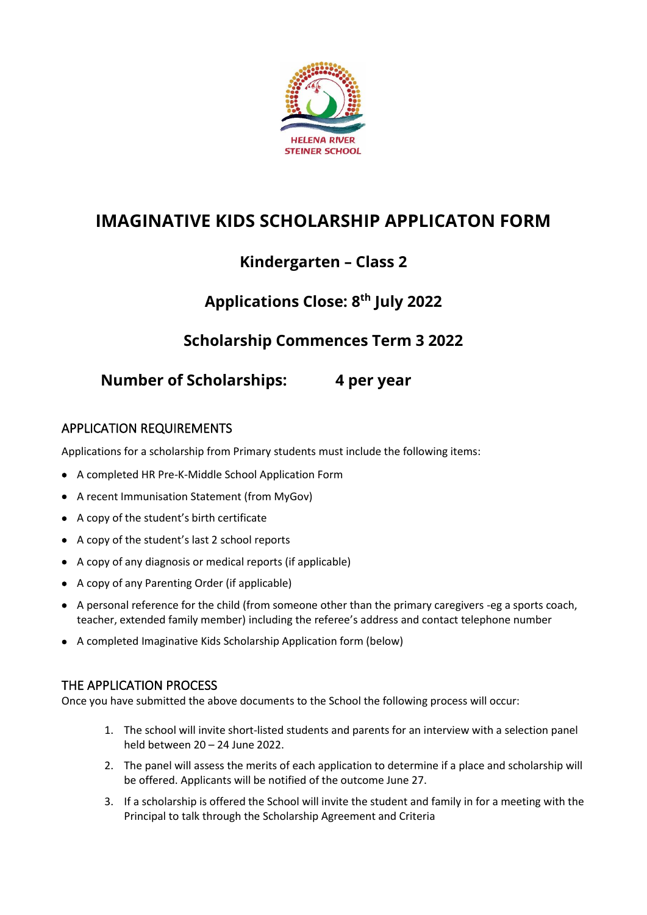

# **IMAGINATIVE KIDS SCHOLARSHIP APPLICATON FORM**

## **Kindergarten – Class 2**

# **Applications Close: 8 th July 2022**

### **Scholarship Commences Term 3 2022**

### **Number of Scholarships: 4 per year**

#### APPLICATION REQUIREMENTS

Applications for a scholarship from Primary students must include the following items:

- A completed HR Pre-K-Middle School Application Form
- A recent Immunisation Statement (from MyGov)
- A copy of the student's birth certificate
- A copy of the student's last 2 school reports
- A copy of any diagnosis or medical reports (if applicable)
- A copy of any Parenting Order (if applicable)
- A personal reference for the child (from someone other than the primary caregivers -eg a sports coach, teacher, extended family member) including the referee's address and contact telephone number
- A completed Imaginative Kids Scholarship Application form (below)

#### THE APPLICATION PROCESS

Once you have submitted the above documents to the School the following process will occur:

- 1. The school will invite short-listed students and parents for an interview with a selection panel held between 20 – 24 June 2022.
- 2. The panel will assess the merits of each application to determine if a place and scholarship will be offered. Applicants will be notified of the outcome June 27.
- 3. If a scholarship is offered the School will invite the student and family in for a meeting with the Principal to talk through the Scholarship Agreement and Criteria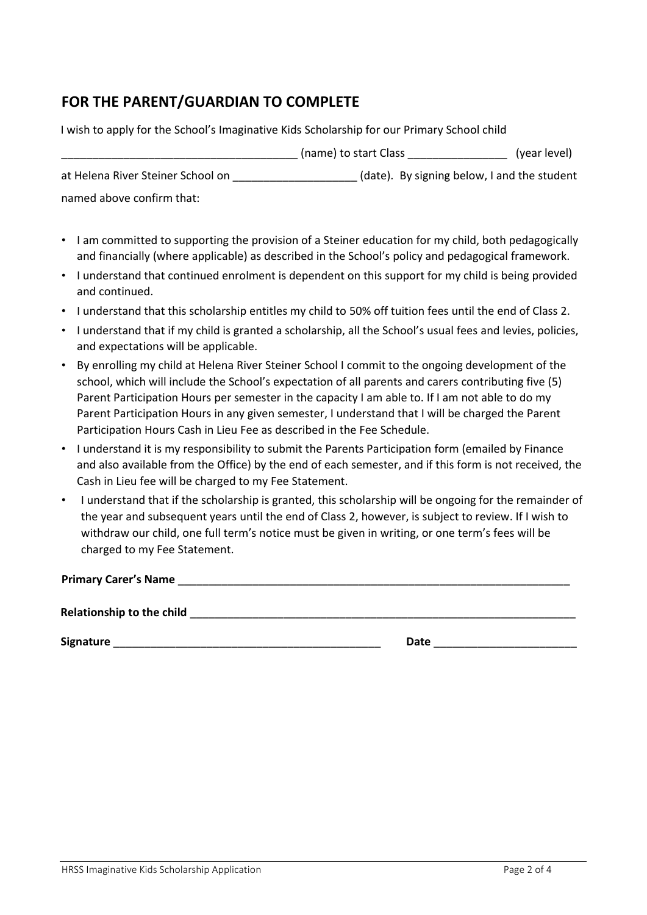#### **FOR THE PARENT/GUARDIAN TO COMPLETE**

I wish to apply for the School's Imaginative Kids Scholarship for our Primary School child \_\_\_\_\_\_\_\_\_\_\_\_\_\_\_\_\_\_\_\_\_\_\_\_\_\_\_\_\_\_\_\_\_\_\_\_\_\_ (name) to start Class \_\_\_\_\_\_\_\_\_\_\_\_\_\_\_\_ (year level) at Helena River Steiner School on (date). By signing below, I and the student named above confirm that:

• I am committed to supporting the provision of a Steiner education for my child, both pedagogically and financially (where applicable) as described in the School's policy and pedagogical framework.

- I understand that continued enrolment is dependent on this support for my child is being provided and continued.
- I understand that this scholarship entitles my child to 50% off tuition fees until the end of Class 2.
- I understand that if my child is granted a scholarship, all the School's usual fees and levies, policies, and expectations will be applicable.
- By enrolling my child at Helena River Steiner School I commit to the ongoing development of the school, which will include the School's expectation of all parents and carers contributing five (5) Parent Participation Hours per semester in the capacity I am able to. If I am not able to do my Parent Participation Hours in any given semester, I understand that I will be charged the Parent Participation Hours Cash in Lieu Fee as described in the Fee Schedule.
- I understand it is my responsibility to submit the Parents Participation form (emailed by Finance and also available from the Office) by the end of each semester, and if this form is not received, the Cash in Lieu fee will be charged to my Fee Statement.
- I understand that if the scholarship is granted, this scholarship will be ongoing for the remainder of the year and subsequent years until the end of Class 2, however, is subject to review. If I wish to withdraw our child, one full term's notice must be given in writing, or one term's fees will be charged to my Fee Statement.

**Primary Carer's Name** \_\_\_\_\_\_\_\_\_\_\_\_\_\_\_\_\_\_\_\_\_\_\_\_\_\_\_\_\_\_\_\_\_\_\_\_\_\_\_\_\_\_\_\_\_\_\_\_\_\_\_\_\_\_\_\_\_\_\_\_\_\_\_

**Relationship to the child**  <u>and the child</u> **and the child of the child of the child of the child of the child of the child of the child of the child of the child of the child of the child of the child of the child of the** 

**Signature** \_\_\_\_\_\_\_\_\_\_\_\_\_\_\_\_\_\_\_\_\_\_\_\_\_\_\_\_\_\_\_\_\_\_\_\_\_\_\_\_\_\_\_ **Date** \_\_\_\_\_\_\_\_\_\_\_\_\_\_\_\_\_\_\_\_\_\_\_